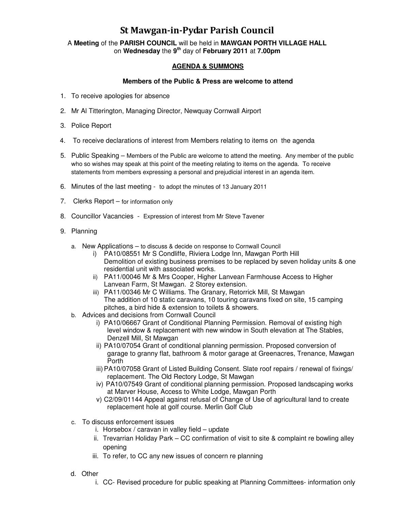## St Mawgan-in-Pydar Parish Council

A **Meeting** of the **PARISH COUNCIL** will be held in **MAWGAN PORTH VILLAGE HALL** on **Wednesday** the **9th** day of **February 2011** at **7.00pm** 

## **AGENDA & SUMMONS**

## **Members of the Public & Press are welcome to attend**

- 1. To receive apologies for absence
- 2. Mr Al Titterington, Managing Director, Newquay Cornwall Airport
- 3. Police Report
- 4. To receive declarations of interest from Members relating to items on the agenda
- 5. Public Speaking Members of the Public are welcome to attend the meeting. Any member of the public who so wishes may speak at this point of the meeting relating to items on the agenda. To receive statements from members expressing a personal and prejudicial interest in an agenda item.
- 6. Minutes of the last meeting to adopt the minutes of 13 January 2011
- 7. Clerks Report for information only
- 8. Councillor Vacancies Expression of interest from Mr Steve Tavener
- 9. Planning
	- a. New Applications to discuss & decide on response to Cornwall Council
		- i) PA10/08551 Mr S Condliffe, Riviera Lodge Inn, Mawgan Porth Hill Demolition of existing business premises to be replaced by seven holiday units & one residential unit with associated works.
		- ii) PA11/00046 Mr & Mrs Cooper, Higher Lanvean Farmhouse Access to Higher Lanvean Farm, St Mawgan. 2 Storey extension.
		- iii) PA11/00346 Mr C Williams. The Granary, Retorrick Mill, St Mawgan The addition of 10 static caravans, 10 touring caravans fixed on site, 15 camping pitches, a bird hide & extension to toilets & showers.
	- b. Advices and decisions from Cornwall Council
		- i) PA10/06667 Grant of Conditional Planning Permission. Removal of existing high level window & replacement with new window in South elevation at The Stables, Denzell Mill, St Mawgan
		- ii) PA10/07054 Grant of conditional planning permission. Proposed conversion of garage to granny flat, bathroom & motor garage at Greenacres, Trenance, Mawgan Porth
		- iii) PA10/07058 Grant of Listed Building Consent. Slate roof repairs / renewal of fixings/ replacement. The Old Rectory Lodge, St Mawgan
		- iv) PA10/07549 Grant of conditional planning permission. Proposed landscaping works at Marver House, Access to White Lodge, Mawgan Porth
		- v) C2/09/01144 Appeal against refusal of Change of Use of agricultural land to create replacement hole at golf course. Merlin Golf Club
	- c. To discuss enforcement issues
		- i. Horsebox / caravan in valley field update
		- ii. Trevarrian Holiday Park CC confirmation of visit to site & complaint re bowling alley opening
		- iii. To refer, to CC any new issues of concern re planning
	- d. Other
		- i. CC- Revised procedure for public speaking at Planning Committees- information only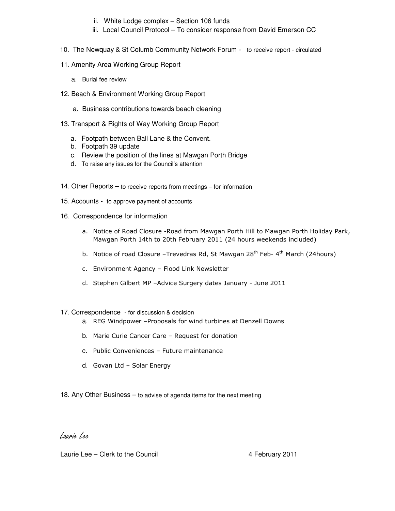- ii. White Lodge complex Section 106 funds
- iii. Local Council Protocol To consider response from David Emerson CC
- 10. The Newquay & St Columb Community Network Forum to receive report circulated
- 11. Amenity Area Working Group Report
	- a. Burial fee review
- 12. Beach & Environment Working Group Report
	- a. Business contributions towards beach cleaning
- 13. Transport & Rights of Way Working Group Report
	- a. Footpath between Ball Lane & the Convent.
	- b. Footpath 39 update
	- c. Review the position of the lines at Mawgan Porth Bridge
	- d. To raise any issues for the Council's attention
- 14. Other Reports to receive reports from meetings for information
- 15. Accounts to approve payment of accounts
- 16. Correspondence for information
	- a. Notice of Road Closure -Road from Mawgan Porth Hill to Mawgan Porth Holiday Park, Mawgan Porth 14th to 20th February 2011 (24 hours weekends included)
	- b. Notice of road Closure –Trevedras Rd, St Mawgan  $28<sup>th</sup>$  Feb- 4<sup>th</sup> March (24hours)
	- c. Environment Agency Flood Link Newsletter
	- d. Stephen Gilbert MP –Advice Surgery dates January June 2011
- 17. Correspondence for discussion & decision
	- a. REG Windpower –Proposals for wind turbines at Denzell Downs
	- b. Marie Curie Cancer Care Request for donation
	- c. Public Conveniences Future maintenance
	- d. Govan Ltd Solar Energy
- 18. Any Other Business to advise of agenda items for the next meeting

## Laurie Lee

Laurie Lee – Clerk to the Council **Accord 12 February 2011**